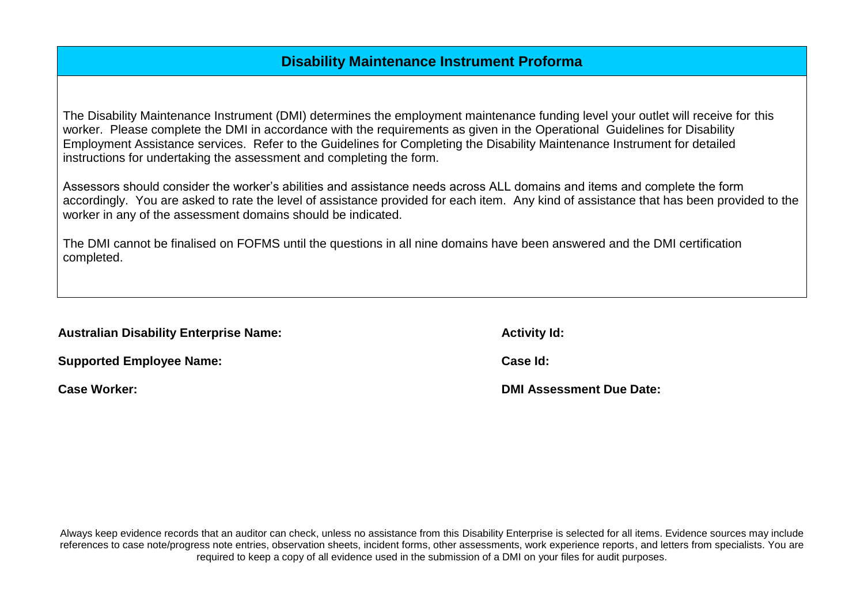# **Disability Maintenance Instrument Proforma**

The Disability Maintenance Instrument (DMI) determines the employment maintenance funding level your outlet will receive for this worker. Please complete the DMI in accordance with the requirements as given in the Operational Guidelines for Disability Employment Assistance services. Refer to the Guidelines for Completing the Disability Maintenance Instrument for detailed instructions for undertaking the assessment and completing the form.

Assessors should consider the worker's abilities and assistance needs across ALL domains and items and complete the form accordingly. You are asked to rate the level of assistance provided for each item. Any kind of assistance that has been provided to the worker in any of the assessment domains should be indicated.

The DMI cannot be finalised on FOFMS until the questions in all nine domains have been answered and the DMI certification completed.

| <b>Australian Disability Enterprise Name:</b> |  |  |  |  |
|-----------------------------------------------|--|--|--|--|
|-----------------------------------------------|--|--|--|--|

| <b>Supported Employee Name:</b> | Case Id: |
|---------------------------------|----------|
|                                 |          |

**Activity Id:** 

**Case Worker: DMI Assessment Due Date:**

Always keep evidence records that an auditor can check, unless no assistance from this Disability Enterprise is selected for all items. Evidence sources may include references to case note/progress note entries, observation sheets, incident forms, other assessments, work experience reports, and letters from specialists. You are required to keep a copy of all evidence used in the submission of a DMI on your files for audit purposes.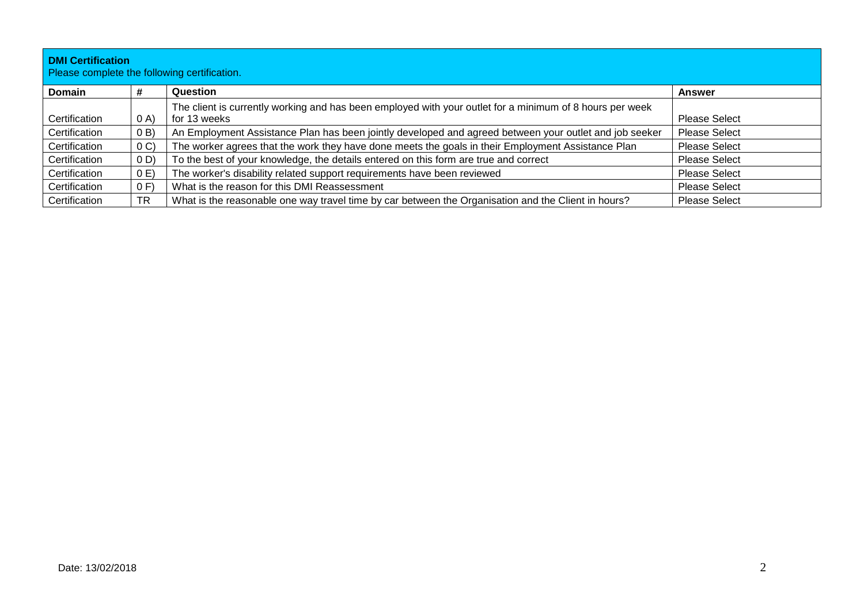| <b>DMI Certification</b><br>Please complete the following certification. |                |                                                                                                          |                      |  |
|--------------------------------------------------------------------------|----------------|----------------------------------------------------------------------------------------------------------|----------------------|--|
| <b>Domain</b>                                                            | #              | Question                                                                                                 | Answer               |  |
|                                                                          |                | The client is currently working and has been employed with your outlet for a minimum of 8 hours per week |                      |  |
| Certification                                                            | 0 A)           | for 13 weeks                                                                                             | <b>Please Select</b> |  |
| Certification                                                            | (0 B)          | An Employment Assistance Plan has been jointly developed and agreed between your outlet and job seeker   | <b>Please Select</b> |  |
| Certification                                                            | 0 <sub>C</sub> | The worker agrees that the work they have done meets the goals in their Employment Assistance Plan       | <b>Please Select</b> |  |
| Certification                                                            | (0, D)         | To the best of your knowledge, the details entered on this form are true and correct                     | <b>Please Select</b> |  |
| Certification                                                            | 0 E            | The worker's disability related support requirements have been reviewed                                  | Please Select        |  |
| Certification                                                            | 0 F            | What is the reason for this DMI Reassessment                                                             | <b>Please Select</b> |  |
| Certification                                                            | <b>TR</b>      | What is the reasonable one way travel time by car between the Organisation and the Client in hours?      | <b>Please Select</b> |  |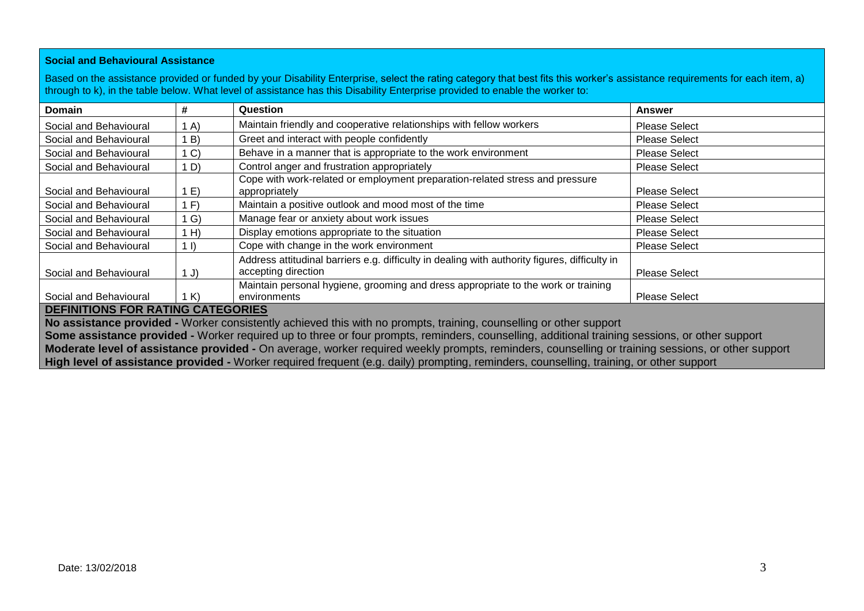#### **Social and Behavioural Assistance**

Based on the assistance provided or funded by your Disability Enterprise, select the rating category that best fits this worker's assistance requirements for each item, a) through to k), in the table below. What level of assistance has this Disability Enterprise provided to enable the worker to:

| <b>Domain</b>                            | #              | Question                                                                                                             | <b>Answer</b>        |  |
|------------------------------------------|----------------|----------------------------------------------------------------------------------------------------------------------|----------------------|--|
| Social and Behavioural                   | (A)            | Maintain friendly and cooperative relationships with fellow workers                                                  | <b>Please Select</b> |  |
| Social and Behavioural                   | 1B)            | Greet and interact with people confidently                                                                           | <b>Please Select</b> |  |
| Social and Behavioural                   | 1 <sup>C</sup> | Behave in a manner that is appropriate to the work environment                                                       | <b>Please Select</b> |  |
| Social and Behavioural                   | 1 D)           | Control anger and frustration appropriately                                                                          | <b>Please Select</b> |  |
| Social and Behavioural                   | 1 E)           | Cope with work-related or employment preparation-related stress and pressure<br>appropriately                        | <b>Please Select</b> |  |
| Social and Behavioural                   | 1 F            | Maintain a positive outlook and mood most of the time                                                                | <b>Please Select</b> |  |
| Social and Behavioural                   | 1 G)           | Manage fear or anxiety about work issues                                                                             | <b>Please Select</b> |  |
| Social and Behavioural                   | 1 H            | Display emotions appropriate to the situation                                                                        | <b>Please Select</b> |  |
| Social and Behavioural                   | $1 \vert)$     | Cope with change in the work environment                                                                             | <b>Please Select</b> |  |
| Social and Behavioural                   | 1 J)           | Address attitudinal barriers e.g. difficulty in dealing with authority figures, difficulty in<br>accepting direction | <b>Please Select</b> |  |
| Social and Behavioural                   | 1 K)           | Maintain personal hygiene, grooming and dress appropriate to the work or training<br>environments                    | <b>Please Select</b> |  |
| <b>DEFINITIONS FOR RATING CATEGORIES</b> |                |                                                                                                                      |                      |  |

**No assistance provided -** Worker consistently achieved this with no prompts, training, counselling or other support

**Some assistance provided -** Worker required up to three or four prompts, reminders, counselling, additional training sessions, or other support **Moderate level of assistance provided -** On average, worker required weekly prompts, reminders, counselling or training sessions, or other support **High level of assistance provided -** Worker required frequent (e.g. daily) prompting, reminders, counselling, training, or other support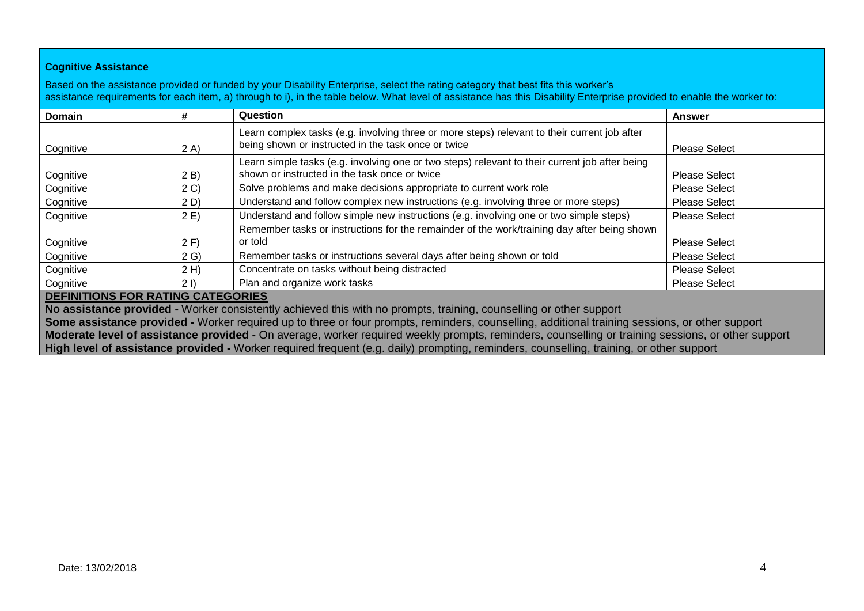## **Cognitive Assistance**

Based on the assistance provided or funded by your Disability Enterprise, select the rating category that best fits this worker's assistance requirements for each item, a) through to i), in the table below. What level of assistance has this Disability Enterprise provided to enable the worker to:

| <b>Domain</b> | #              | Question                                                                                                                                            | <b>Answer</b>        |
|---------------|----------------|-----------------------------------------------------------------------------------------------------------------------------------------------------|----------------------|
| Cognitive     | 2 A)           | Learn complex tasks (e.g. involving three or more steps) relevant to their current job after<br>being shown or instructed in the task once or twice | <b>Please Select</b> |
| Cognitive     | 2 B)           | Learn simple tasks (e.g. involving one or two steps) relevant to their current job after being<br>shown or instructed in the task once or twice     | <b>Please Select</b> |
| Cognitive     | 2 <sub>C</sub> | Solve problems and make decisions appropriate to current work role                                                                                  | <b>Please Select</b> |
| Cognitive     | 2 D)           | Understand and follow complex new instructions (e.g. involving three or more steps)                                                                 | <b>Please Select</b> |
| Cognitive     | 2E)            | Understand and follow simple new instructions (e.g. involving one or two simple steps)                                                              | <b>Please Select</b> |
| Cognitive     | 2 F)           | Remember tasks or instructions for the remainder of the work/training day after being shown<br>or told                                              | <b>Please Select</b> |
| Cognitive     | 2 G            | Remember tasks or instructions several days after being shown or told                                                                               | <b>Please Select</b> |
| Cognitive     | 2 H)           | Concentrate on tasks without being distracted                                                                                                       | <b>Please Select</b> |
| Cognitive     | 21             | Plan and organize work tasks                                                                                                                        | <b>Please Select</b> |

### **DEFINITIONS FOR RATING CATEGORIES**

**No assistance provided -** Worker consistently achieved this with no prompts, training, counselling or other support **Some assistance provided -** Worker required up to three or four prompts, reminders, counselling, additional training sessions, or other support **Moderate level of assistance provided -** On average, worker required weekly prompts, reminders, counselling or training sessions, or other support **High level of assistance provided -** Worker required frequent (e.g. daily) prompting, reminders, counselling, training, or other support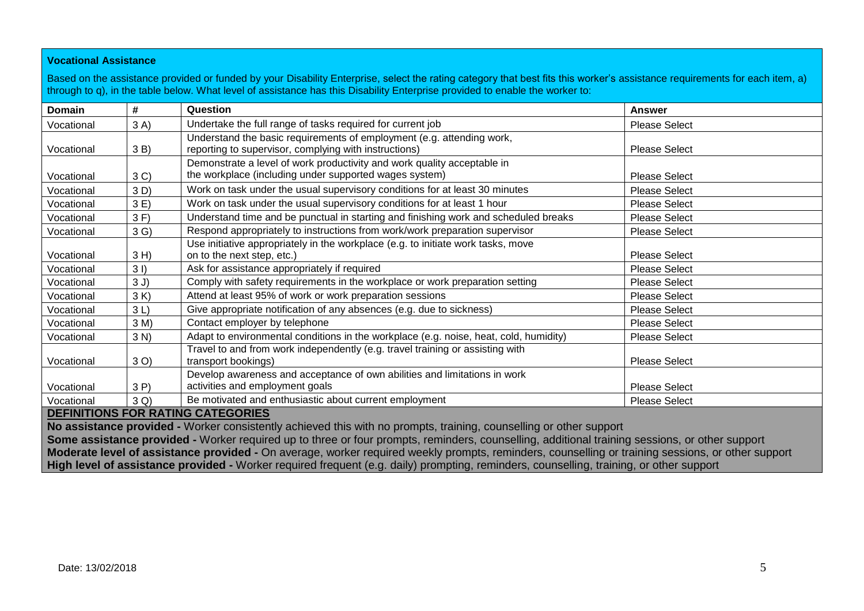## **Vocational Assistance**

Based on the assistance provided or funded by your Disability Enterprise, select the rating category that best fits this worker's assistance requirements for each item, a) through to q), in the table below. What level of assistance has this Disability Enterprise provided to enable the worker to:

| Domain                                                                                                                                           | #              | Question                                                                              | Answer               |  |
|--------------------------------------------------------------------------------------------------------------------------------------------------|----------------|---------------------------------------------------------------------------------------|----------------------|--|
| Vocational                                                                                                                                       | 3A)            | Undertake the full range of tasks required for current job                            | <b>Please Select</b> |  |
|                                                                                                                                                  |                | Understand the basic requirements of employment (e.g. attending work,                 |                      |  |
| Vocational                                                                                                                                       | 3 B)           | reporting to supervisor, complying with instructions)                                 | <b>Please Select</b> |  |
|                                                                                                                                                  |                | Demonstrate a level of work productivity and work quality acceptable in               |                      |  |
| Vocational                                                                                                                                       | 3 <sup>C</sup> | the workplace (including under supported wages system)                                | <b>Please Select</b> |  |
| Vocational                                                                                                                                       | 3D)            | Work on task under the usual supervisory conditions for at least 30 minutes           | <b>Please Select</b> |  |
| Vocational                                                                                                                                       | 3E)            | Work on task under the usual supervisory conditions for at least 1 hour               | <b>Please Select</b> |  |
| Vocational                                                                                                                                       | 3 F)           | Understand time and be punctual in starting and finishing work and scheduled breaks   | <b>Please Select</b> |  |
| Vocational                                                                                                                                       | 3 <sub>G</sub> | Respond appropriately to instructions from work/work preparation supervisor           | <b>Please Select</b> |  |
|                                                                                                                                                  |                | Use initiative appropriately in the workplace (e.g. to initiate work tasks, move      |                      |  |
| Vocational                                                                                                                                       | $3H$ )         | on to the next step, etc.)                                                            | <b>Please Select</b> |  |
| Vocational                                                                                                                                       | $3l$ )         | Ask for assistance appropriately if required                                          | <b>Please Select</b> |  |
| Vocational                                                                                                                                       | 3J)            | Comply with safety requirements in the workplace or work preparation setting          | <b>Please Select</b> |  |
| Vocational                                                                                                                                       | 3 K            | Attend at least 95% of work or work preparation sessions                              | <b>Please Select</b> |  |
| Vocational                                                                                                                                       | 3L             | Give appropriate notification of any absences (e.g. due to sickness)                  | <b>Please Select</b> |  |
| Vocational                                                                                                                                       | 3 M)           | Contact employer by telephone                                                         | <b>Please Select</b> |  |
| Vocational                                                                                                                                       | 3 N            | Adapt to environmental conditions in the workplace (e.g. noise, heat, cold, humidity) | <b>Please Select</b> |  |
|                                                                                                                                                  |                | Travel to and from work independently (e.g. travel training or assisting with         |                      |  |
| Vocational                                                                                                                                       | 3 O)           | transport bookings)                                                                   | <b>Please Select</b> |  |
|                                                                                                                                                  |                | Develop awareness and acceptance of own abilities and limitations in work             |                      |  |
| Vocational                                                                                                                                       | 3P             | activities and employment goals                                                       | <b>Please Select</b> |  |
| Vocational                                                                                                                                       | 3 Q)           | Be motivated and enthusiastic about current employment                                | <b>Please Select</b> |  |
| <b>DEFINITIONS FOR RATING CATEGORIES</b><br>ata (ang filamang latang ang filamang ang managang ang managang ang paggang ang lilang ang paglangan |                |                                                                                       |                      |  |

**No assistance provided -** Worker consistently achieved this with no prompts, training, counselling or other support **Some assistance provided -** Worker required up to three or four prompts, reminders, counselling, additional training sessions, or other support **Moderate level of assistance provided -** On average, worker required weekly prompts, reminders, counselling or training sessions, or other support **High level of assistance provided -** Worker required frequent (e.g. daily) prompting, reminders, counselling, training, or other support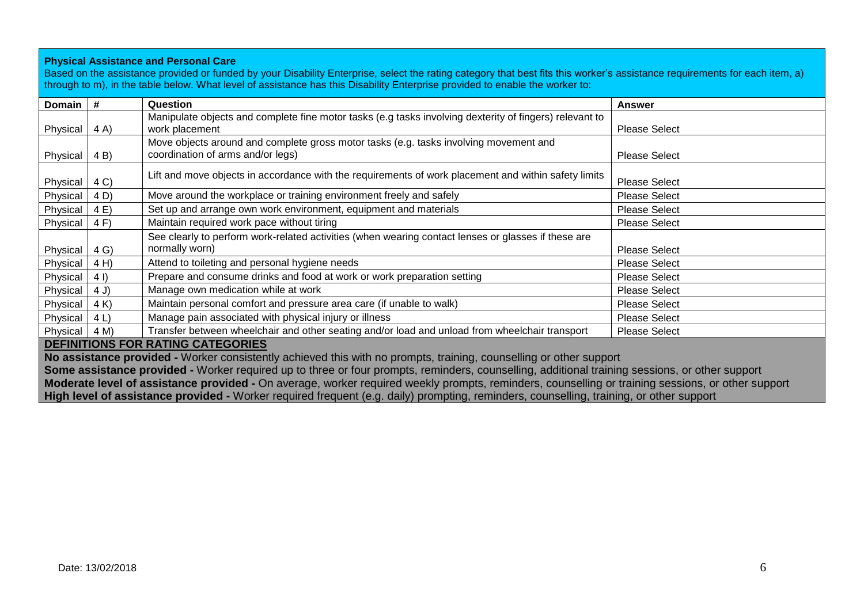#### **Physical Assistance and Personal Care**

Based on the assistance provided or funded by your Disability Enterprise, select the rating category that best fits this worker's assistance requirements for each item, a) through to m), in the table below. What level of assistance has this Disability Enterprise provided to enable the worker to:

| <b>Domain</b> | #                                        | Question                                                                                                | <b>Answer</b>        |  |  |  |
|---------------|------------------------------------------|---------------------------------------------------------------------------------------------------------|----------------------|--|--|--|
|               |                                          | Manipulate objects and complete fine motor tasks (e.g tasks involving dexterity of fingers) relevant to |                      |  |  |  |
| Physical      | 4 A)                                     | work placement                                                                                          | <b>Please Select</b> |  |  |  |
|               |                                          | Move objects around and complete gross motor tasks (e.g. tasks involving movement and                   |                      |  |  |  |
| Physical      | 4 B)                                     | coordination of arms and/or legs)                                                                       | <b>Please Select</b> |  |  |  |
|               |                                          | Lift and move objects in accordance with the requirements of work placement and within safety limits    |                      |  |  |  |
| Physical      | 4 C)                                     |                                                                                                         | <b>Please Select</b> |  |  |  |
| Physical      | 4 D)                                     | Move around the workplace or training environment freely and safely                                     | <b>Please Select</b> |  |  |  |
| Physical      | 4 E)                                     | Set up and arrange own work environment, equipment and materials                                        | <b>Please Select</b> |  |  |  |
| Physical      | 4 F)                                     | Maintain required work pace without tiring                                                              | <b>Please Select</b> |  |  |  |
|               |                                          | See clearly to perform work-related activities (when wearing contact lenses or glasses if these are     |                      |  |  |  |
| Physical      | 4 <sub>G</sub>                           | normally worn)                                                                                          | <b>Please Select</b> |  |  |  |
| Physical      | 4H                                       | Attend to toileting and personal hygiene needs                                                          | <b>Please Select</b> |  |  |  |
| Physical      | 4 I)                                     | Prepare and consume drinks and food at work or work preparation setting                                 | <b>Please Select</b> |  |  |  |
| Physical      | 4 J)                                     | Manage own medication while at work                                                                     | <b>Please Select</b> |  |  |  |
| Physical      | 4 K                                      | Maintain personal comfort and pressure area care (if unable to walk)                                    | <b>Please Select</b> |  |  |  |
| Physical      | 4 <sub>L</sub>                           | Manage pain associated with physical injury or illness                                                  | <b>Please Select</b> |  |  |  |
| Physical      | 4 M)                                     | Transfer between wheelchair and other seating and/or load and unload from wheelchair transport          | <b>Please Select</b> |  |  |  |
|               | <b>DEFINITIONS FOR RATING CATEGORIES</b> |                                                                                                         |                      |  |  |  |

**No assistance provided -** Worker consistently achieved this with no prompts, training, counselling or other support **Some assistance provided -** Worker required up to three or four prompts, reminders, counselling, additional training sessions, or other support **Moderate level of assistance provided -** On average, worker required weekly prompts, reminders, counselling or training sessions, or other support

**High level of assistance provided -** Worker required frequent (e.g. daily) prompting, reminders, counselling, training, or other support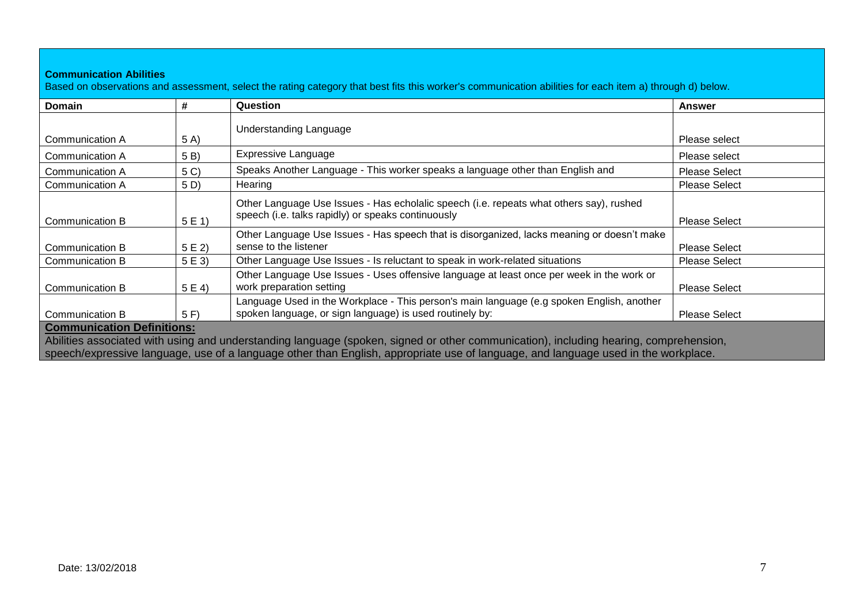| Domain          | #    | Question                                                                                                                                              | Answer               |
|-----------------|------|-------------------------------------------------------------------------------------------------------------------------------------------------------|----------------------|
|                 |      | Understanding Language                                                                                                                                |                      |
| Communication A | 5 A) |                                                                                                                                                       | Please select        |
| Communication A | 5 B) | <b>Expressive Language</b>                                                                                                                            | Please select        |
| Communication A | 5 C) | Speaks Another Language - This worker speaks a language other than English and                                                                        | <b>Please Select</b> |
| Communication A | 5 D) | Hearing                                                                                                                                               | <b>Please Select</b> |
| Communication B | 5E1  | Other Language Use Issues - Has echolalic speech (i.e. repeats what others say), rushed<br>speech (i.e. talks rapidly) or speaks continuously         | <b>Please Select</b> |
| Communication B | 5E2  | Other Language Use Issues - Has speech that is disorganized, lacks meaning or doesn't make<br>sense to the listener                                   | <b>Please Select</b> |
| Communication B | 5E3  | Other Language Use Issues - Is reluctant to speak in work-related situations                                                                          | <b>Please Select</b> |
| Communication B | 5E4  | Other Language Use Issues - Uses offensive language at least once per week in the work or<br>work preparation setting                                 | <b>Please Select</b> |
| Communication B | 5 F  | Language Used in the Workplace - This person's main language (e.g spoken English, another<br>spoken language, or sign language) is used routinely by: | <b>Please Select</b> |

speech/expressive language, use of a language other than English, appropriate use of language, and language used in the workplace.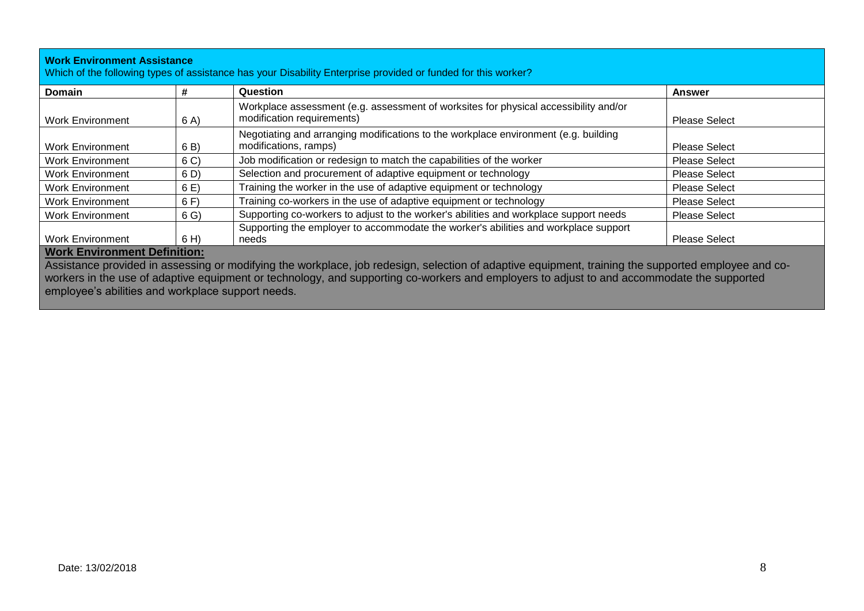| <b>Work Environment Assistance</b><br>Which of the following types of assistance has your Disability Enterprise provided or funded for this worker?                                                                                                                                                                            |                |                                                                                                                    |                      |  |
|--------------------------------------------------------------------------------------------------------------------------------------------------------------------------------------------------------------------------------------------------------------------------------------------------------------------------------|----------------|--------------------------------------------------------------------------------------------------------------------|----------------------|--|
| Domain                                                                                                                                                                                                                                                                                                                         | #              | Question                                                                                                           | Answer               |  |
| <b>Work Environment</b>                                                                                                                                                                                                                                                                                                        | 6 A)           | Workplace assessment (e.g. assessment of worksites for physical accessibility and/or<br>modification requirements) | <b>Please Select</b> |  |
| <b>Work Environment</b>                                                                                                                                                                                                                                                                                                        | 6 B)           | Negotiating and arranging modifications to the workplace environment (e.g. building<br>modifications, ramps)       | <b>Please Select</b> |  |
| <b>Work Environment</b>                                                                                                                                                                                                                                                                                                        | 6 <sup>C</sup> | Job modification or redesign to match the capabilities of the worker                                               | <b>Please Select</b> |  |
| <b>Work Environment</b>                                                                                                                                                                                                                                                                                                        | 6 D)           | Selection and procurement of adaptive equipment or technology                                                      | <b>Please Select</b> |  |
| <b>Work Environment</b>                                                                                                                                                                                                                                                                                                        | 6E)            | Training the worker in the use of adaptive equipment or technology                                                 | <b>Please Select</b> |  |
| <b>Work Environment</b>                                                                                                                                                                                                                                                                                                        | 6 F)           | Training co-workers in the use of adaptive equipment or technology                                                 | <b>Please Select</b> |  |
| <b>Work Environment</b>                                                                                                                                                                                                                                                                                                        | 6 <sub>G</sub> | Supporting co-workers to adjust to the worker's abilities and workplace support needs                              | <b>Please Select</b> |  |
| <b>Work Environment</b><br>$\frac{1}{2}$ , and $\frac{1}{2}$ , $\frac{1}{2}$ , $\frac{1}{2}$ , $\frac{1}{2}$ , $\frac{1}{2}$ , $\frac{1}{2}$ , $\frac{1}{2}$ , $\frac{1}{2}$ , $\frac{1}{2}$ , $\frac{1}{2}$ , $\frac{1}{2}$ , $\frac{1}{2}$ , $\frac{1}{2}$ , $\frac{1}{2}$ , $\frac{1}{2}$ , $\frac{1}{2}$ , $\frac{1}{2}$ , | 6 H)           | Supporting the employer to accommodate the worker's abilities and workplace support<br>needs                       | <b>Please Select</b> |  |

## **Work Environment Definition:**

Assistance provided in assessing or modifying the workplace, job redesign, selection of adaptive equipment, training the supported employee and coworkers in the use of adaptive equipment or technology, and supporting co-workers and employers to adjust to and accommodate the supported employee's abilities and workplace support needs.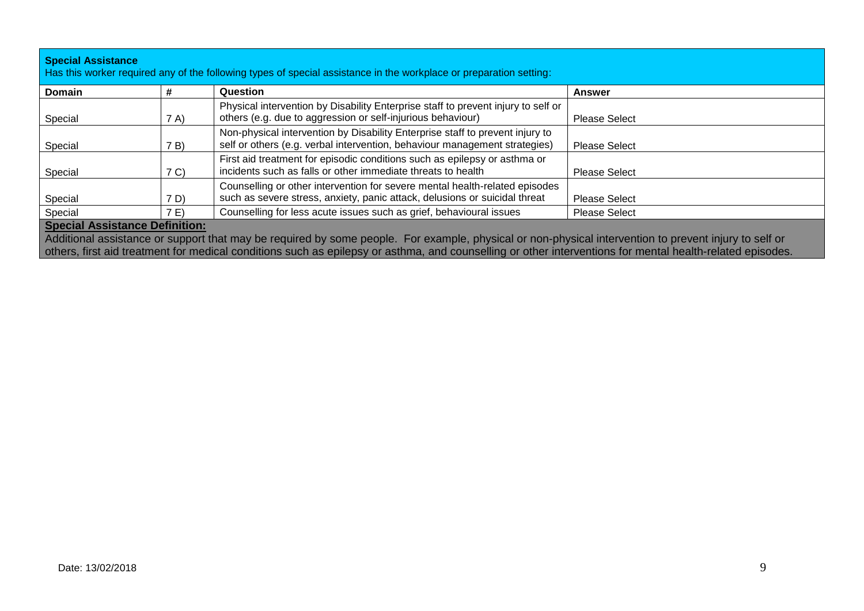| <b>Special Assistance</b><br>Has this worker required any of the following types of special assistance in the workplace or preparation setting: |                                       |                                                                                                                                                             |                      |  |  |
|-------------------------------------------------------------------------------------------------------------------------------------------------|---------------------------------------|-------------------------------------------------------------------------------------------------------------------------------------------------------------|----------------------|--|--|
| <b>Domain</b>                                                                                                                                   | #                                     | Question                                                                                                                                                    | Answer               |  |  |
| Special                                                                                                                                         | 7 A)                                  | Physical intervention by Disability Enterprise staff to prevent injury to self or<br>others (e.g. due to aggression or self-injurious behaviour)            | <b>Please Select</b> |  |  |
| Special                                                                                                                                         | 7B)                                   | Non-physical intervention by Disability Enterprise staff to prevent injury to<br>self or others (e.g. verbal intervention, behaviour management strategies) | <b>Please Select</b> |  |  |
| Special                                                                                                                                         | 7 <sup>C</sup>                        | First aid treatment for episodic conditions such as epilepsy or asthma or<br>incidents such as falls or other immediate threats to health                   | <b>Please Select</b> |  |  |
| Special                                                                                                                                         | 7 D)                                  | Counselling or other intervention for severe mental health-related episodes<br>such as severe stress, anxiety, panic attack, delusions or suicidal threat   | <b>Please Select</b> |  |  |
| Special                                                                                                                                         | 7E                                    | Counselling for less acute issues such as grief, behavioural issues                                                                                         | <b>Please Select</b> |  |  |
|                                                                                                                                                 | <b>Special Assistance Definition:</b> |                                                                                                                                                             |                      |  |  |

Additional assistance or support that may be required by some people. For example, physical or non-physical intervention to prevent injury to self or others, first aid treatment for medical conditions such as epilepsy or asthma, and counselling or other interventions for mental health-related episodes.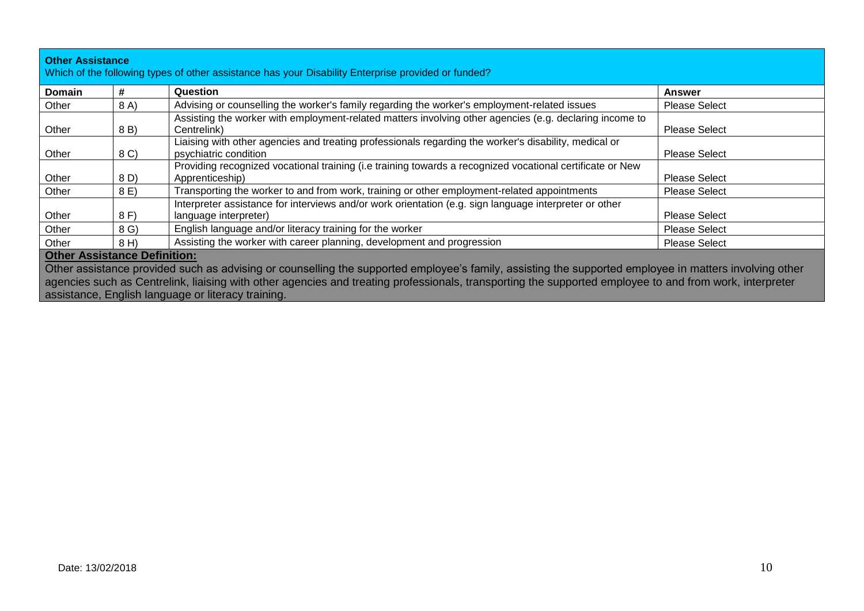| <b>Domain</b>                       | #    | Question                                                                                                                                                                                                                                                                                                                                                                | <b>Answer</b>        |
|-------------------------------------|------|-------------------------------------------------------------------------------------------------------------------------------------------------------------------------------------------------------------------------------------------------------------------------------------------------------------------------------------------------------------------------|----------------------|
| Other                               | 8 A) | Advising or counselling the worker's family regarding the worker's employment-related issues                                                                                                                                                                                                                                                                            | <b>Please Select</b> |
| Other                               | 8 B) | Assisting the worker with employment-related matters involving other agencies (e.g. declaring income to<br>Centrelink)                                                                                                                                                                                                                                                  | <b>Please Select</b> |
| Other                               | 8 C) | Liaising with other agencies and treating professionals regarding the worker's disability, medical or<br>psychiatric condition                                                                                                                                                                                                                                          | <b>Please Select</b> |
| Other                               | 8 D) | Providing recognized vocational training (i.e training towards a recognized vocational certificate or New<br>Apprenticeship)                                                                                                                                                                                                                                            | <b>Please Select</b> |
| Other                               | 8 E) | Transporting the worker to and from work, training or other employment-related appointments                                                                                                                                                                                                                                                                             | <b>Please Select</b> |
| Other                               | 8 F) | Interpreter assistance for interviews and/or work orientation (e.g. sign language interpreter or other<br>language interpreter)                                                                                                                                                                                                                                         | <b>Please Select</b> |
| Other                               | 8 G) | English language and/or literacy training for the worker                                                                                                                                                                                                                                                                                                                | <b>Please Select</b> |
| Other                               | 8 H) | Assisting the worker with career planning, development and progression                                                                                                                                                                                                                                                                                                  | <b>Please Select</b> |
| <b>Other Assistance Definition:</b> |      | Other assistance provided such as advising or counselling the supported employee's family, assisting the supported employee in matters involving other<br>agencies such as Centrelink, liaising with other agencies and treating professionals, transporting the supported employee to and from work, interpreter<br>assistance, English language or literacy training. |                      |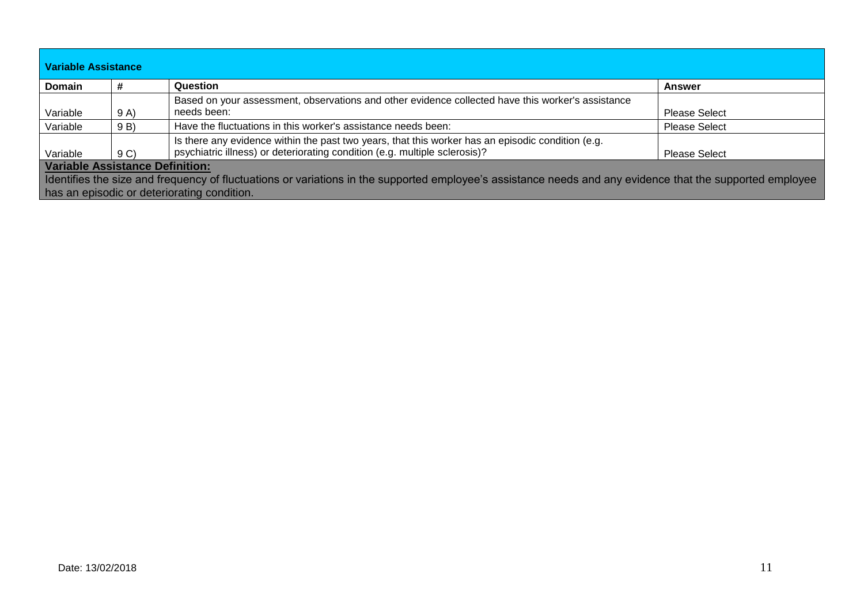| Variable Assistance                                                                                                                                        |                |                                                                                                   |                      |  |  |
|------------------------------------------------------------------------------------------------------------------------------------------------------------|----------------|---------------------------------------------------------------------------------------------------|----------------------|--|--|
| <b>Domain</b>                                                                                                                                              |                | Question                                                                                          | <b>Answer</b>        |  |  |
|                                                                                                                                                            |                | Based on your assessment, observations and other evidence collected have this worker's assistance |                      |  |  |
| Variable                                                                                                                                                   | 9 A)           | needs been:                                                                                       | <b>Please Select</b> |  |  |
| Variable                                                                                                                                                   | 9 B)           | Have the fluctuations in this worker's assistance needs been:                                     | <b>Please Select</b> |  |  |
|                                                                                                                                                            |                | Is there any evidence within the past two years, that this worker has an episodic condition (e.g. |                      |  |  |
| Variable                                                                                                                                                   | 9 <sub>C</sub> | psychiatric illness) or deteriorating condition (e.g. multiple sclerosis)?                        | <b>Please Select</b> |  |  |
| <b>Variable Assistance Definition:</b>                                                                                                                     |                |                                                                                                   |                      |  |  |
| I dentifies the size and frequency of fluctuations or variations in the supported employee's assistance needs and any evidence that the supported employee |                |                                                                                                   |                      |  |  |
| has an episodic or deteriorating condition.                                                                                                                |                |                                                                                                   |                      |  |  |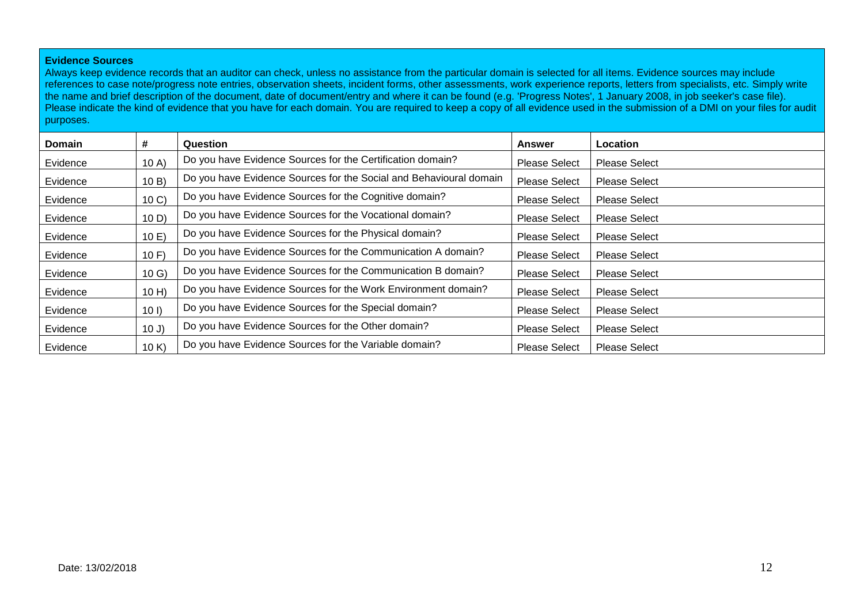### **Evidence Sources**

Always keep evidence records that an auditor can check, unless no assistance from the particular domain is selected for all items. Evidence sources may include references to case note/progress note entries, observation sheets, incident forms, other assessments, work experience reports, letters from specialists, etc. Simply write the name and brief description of the document, date of document/entry and where it can be found (e.g. 'Progress Notes', 1 January 2008, in job seeker's case file). Please indicate the kind of evidence that you have for each domain. You are required to keep a copy of all evidence used in the submission of a DMI on your files for audit purposes.

| <b>Domain</b> | #               | Question                                                           | <b>Answer</b>        | <b>Location</b>      |
|---------------|-----------------|--------------------------------------------------------------------|----------------------|----------------------|
| Evidence      | 10A             | Do you have Evidence Sources for the Certification domain?         | <b>Please Select</b> | <b>Please Select</b> |
| Evidence      | 10B             | Do you have Evidence Sources for the Social and Behavioural domain | <b>Please Select</b> | <b>Please Select</b> |
| Evidence      | 10 <sub>C</sub> | Do you have Evidence Sources for the Cognitive domain?             | <b>Please Select</b> | <b>Please Select</b> |
| Evidence      | 10 D            | Do you have Evidence Sources for the Vocational domain?            | <b>Please Select</b> | <b>Please Select</b> |
| Evidence      | 10E             | Do you have Evidence Sources for the Physical domain?              | <b>Please Select</b> | <b>Please Select</b> |
| Evidence      | 10 F            | Do you have Evidence Sources for the Communication A domain?       | <b>Please Select</b> | <b>Please Select</b> |
| Evidence      | 10 <sub>G</sub> | Do you have Evidence Sources for the Communication B domain?       | <b>Please Select</b> | <b>Please Select</b> |
| Evidence      | $10$ H)         | Do you have Evidence Sources for the Work Environment domain?      | <b>Please Select</b> | <b>Please Select</b> |
| Evidence      | 101             | Do you have Evidence Sources for the Special domain?               | <b>Please Select</b> | <b>Please Select</b> |
| Evidence      | 10J             | Do you have Evidence Sources for the Other domain?                 | <b>Please Select</b> | <b>Please Select</b> |
| Evidence      | 10 K            | Do you have Evidence Sources for the Variable domain?              | <b>Please Select</b> | <b>Please Select</b> |